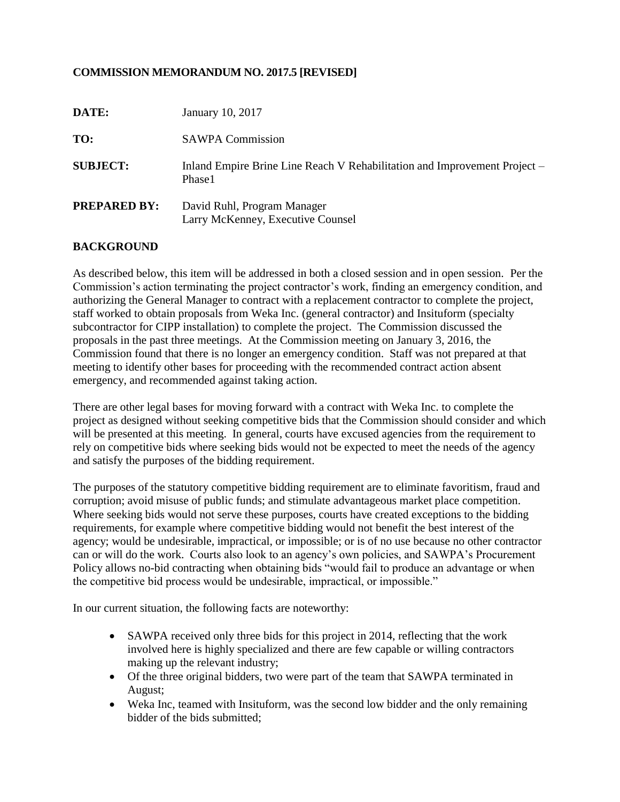# **COMMISSION MEMORANDUM NO. 2017.5 [REVISED]**

| DATE:               | January 10, 2017                                                                    |
|---------------------|-------------------------------------------------------------------------------------|
| TO:                 | <b>SAWPA Commission</b>                                                             |
| <b>SUBJECT:</b>     | Inland Empire Brine Line Reach V Rehabilitation and Improvement Project –<br>Phase1 |
| <b>PREPARED BY:</b> | David Ruhl, Program Manager<br>Larry McKenney, Executive Counsel                    |

## **BACKGROUND**

As described below, this item will be addressed in both a closed session and in open session. Per the Commission's action terminating the project contractor's work, finding an emergency condition, and authorizing the General Manager to contract with a replacement contractor to complete the project, staff worked to obtain proposals from Weka Inc. (general contractor) and Insituform (specialty subcontractor for CIPP installation) to complete the project. The Commission discussed the proposals in the past three meetings. At the Commission meeting on January 3, 2016, the Commission found that there is no longer an emergency condition. Staff was not prepared at that meeting to identify other bases for proceeding with the recommended contract action absent emergency, and recommended against taking action.

There are other legal bases for moving forward with a contract with Weka Inc. to complete the project as designed without seeking competitive bids that the Commission should consider and which will be presented at this meeting. In general, courts have excused agencies from the requirement to rely on competitive bids where seeking bids would not be expected to meet the needs of the agency and satisfy the purposes of the bidding requirement.

The purposes of the statutory competitive bidding requirement are to eliminate favoritism, fraud and corruption; avoid misuse of public funds; and stimulate advantageous market place competition. Where seeking bids would not serve these purposes, courts have created exceptions to the bidding requirements, for example where competitive bidding would not benefit the best interest of the agency; would be undesirable, impractical, or impossible; or is of no use because no other contractor can or will do the work. Courts also look to an agency's own policies, and SAWPA's Procurement Policy allows no-bid contracting when obtaining bids "would fail to produce an advantage or when the competitive bid process would be undesirable, impractical, or impossible."

In our current situation, the following facts are noteworthy:

- SAWPA received only three bids for this project in 2014, reflecting that the work involved here is highly specialized and there are few capable or willing contractors making up the relevant industry;
- Of the three original bidders, two were part of the team that SAWPA terminated in August;
- Weka Inc, teamed with Insituform, was the second low bidder and the only remaining bidder of the bids submitted;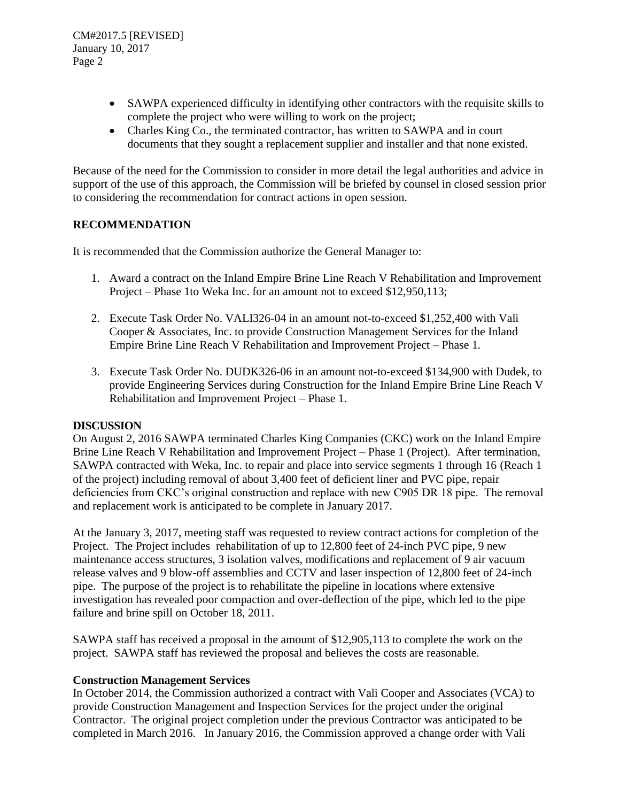CM#2017.5 [REVISED] January 10, 2017 Page 2

- SAWPA experienced difficulty in identifying other contractors with the requisite skills to complete the project who were willing to work on the project;
- Charles King Co., the terminated contractor, has written to SAWPA and in court documents that they sought a replacement supplier and installer and that none existed.

Because of the need for the Commission to consider in more detail the legal authorities and advice in support of the use of this approach, the Commission will be briefed by counsel in closed session prior to considering the recommendation for contract actions in open session.

## **RECOMMENDATION**

It is recommended that the Commission authorize the General Manager to:

- 1. Award a contract on the Inland Empire Brine Line Reach V Rehabilitation and Improvement Project – Phase 1to Weka Inc. for an amount not to exceed \$12,950,113;
- 2. Execute Task Order No. VALI326-04 in an amount not-to-exceed \$1,252,400 with Vali Cooper & Associates, Inc. to provide Construction Management Services for the Inland Empire Brine Line Reach V Rehabilitation and Improvement Project – Phase 1.
- 3. Execute Task Order No. DUDK326-06 in an amount not-to-exceed \$134,900 with Dudek, to provide Engineering Services during Construction for the Inland Empire Brine Line Reach V Rehabilitation and Improvement Project – Phase 1.

#### **DISCUSSION**

On August 2, 2016 SAWPA terminated Charles King Companies (CKC) work on the Inland Empire Brine Line Reach V Rehabilitation and Improvement Project – Phase 1 (Project). After termination, SAWPA contracted with Weka, Inc. to repair and place into service segments 1 through 16 (Reach 1 of the project) including removal of about 3,400 feet of deficient liner and PVC pipe, repair deficiencies from CKC's original construction and replace with new C905 DR 18 pipe. The removal and replacement work is anticipated to be complete in January 2017.

At the January 3, 2017, meeting staff was requested to review contract actions for completion of the Project. The Project includes rehabilitation of up to 12,800 feet of 24-inch PVC pipe, 9 new maintenance access structures, 3 isolation valves, modifications and replacement of 9 air vacuum release valves and 9 blow-off assemblies and CCTV and laser inspection of 12,800 feet of 24-inch pipe. The purpose of the project is to rehabilitate the pipeline in locations where extensive investigation has revealed poor compaction and over-deflection of the pipe, which led to the pipe failure and brine spill on October 18, 2011.

SAWPA staff has received a proposal in the amount of \$12,905,113 to complete the work on the project. SAWPA staff has reviewed the proposal and believes the costs are reasonable.

#### **Construction Management Services**

In October 2014, the Commission authorized a contract with Vali Cooper and Associates (VCA) to provide Construction Management and Inspection Services for the project under the original Contractor. The original project completion under the previous Contractor was anticipated to be completed in March 2016. In January 2016, the Commission approved a change order with Vali